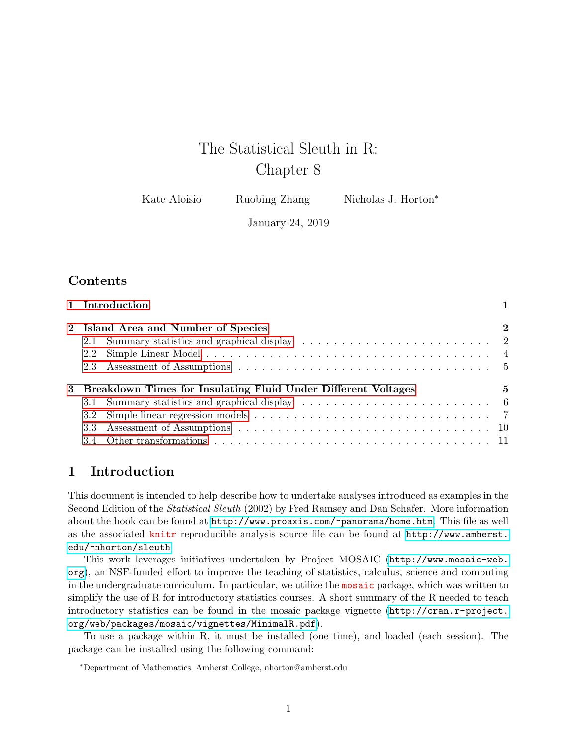# The Statistical Sleuth in R: Chapter 8

Kate Aloisio Ruobing Zhang Nicholas J. Horton<sup>\*</sup>

January 24, 2019

# **Contents**

|     | $\bf{2}$                                                                                                                               |
|-----|----------------------------------------------------------------------------------------------------------------------------------------|
|     |                                                                                                                                        |
| 2.2 |                                                                                                                                        |
|     |                                                                                                                                        |
|     | 5                                                                                                                                      |
|     |                                                                                                                                        |
|     |                                                                                                                                        |
|     |                                                                                                                                        |
|     |                                                                                                                                        |
|     | 1 Introduction<br>2 Island Area and Number of Species<br>2.1<br>3 Breakdown Times for Insulating Fluid Under Different Voltages<br>3.2 |

# <span id="page-0-0"></span>1 Introduction

This document is intended to help describe how to undertake analyses introduced as examples in the Second Edition of the Statistical Sleuth (2002) by Fred Ramsey and Dan Schafer. More information about the book can be found at <http://www.proaxis.com/~panorama/home.htm>. This file as well as the associated knitr reproducible analysis source file can be found at [http://www.amherst.](http://www.amherst.edu/~nhorton/sleuth) [edu/~nhorton/sleuth](http://www.amherst.edu/~nhorton/sleuth).

This work leverages initiatives undertaken by Project MOSAIC ([http://www.mosaic-web.](http://www.mosaic-web.org) [org](http://www.mosaic-web.org)), an NSF-funded effort to improve the teaching of statistics, calculus, science and computing in the undergraduate curriculum. In particular, we utilize the mosaic package, which was written to simplify the use of R for introductory statistics courses. A short summary of the R needed to teach introductory statistics can be found in the mosaic package vignette ([http://cran.r-project.](http://cran.r-project.org/web/packages/mosaic/vignettes/MinimalR.pdf) [org/web/packages/mosaic/vignettes/MinimalR.pdf](http://cran.r-project.org/web/packages/mosaic/vignettes/MinimalR.pdf)).

To use a package within R, it must be installed (one time), and loaded (each session). The package can be installed using the following command:

<sup>∗</sup>Department of Mathematics, Amherst College, nhorton@amherst.edu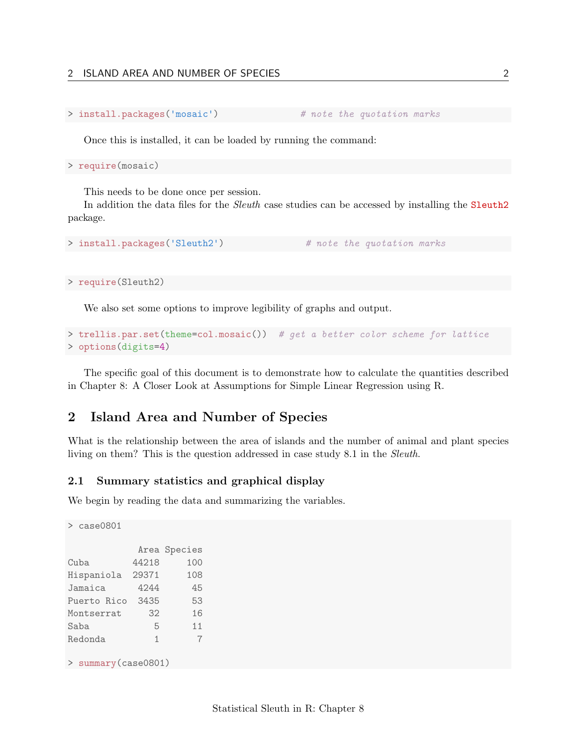```
> install.packages('mosaic') # note the quotation marks
```
Once this is installed, it can be loaded by running the command:

> require(mosaic)

This needs to be done once per session.

In addition the data files for the Sleuth case studies can be accessed by installing the Sleuth2 package.

```
> install.packages('Sleuth2') # note the quotation marks
```
> require(Sleuth2)

We also set some options to improve legibility of graphs and output.

```
> trellis.par.set(theme=col.mosaic()) # get a better color scheme for lattice
> options(digits=4)
```
The specific goal of this document is to demonstrate how to calculate the quantities described in Chapter 8: A Closer Look at Assumptions for Simple Linear Regression using R.

## <span id="page-1-0"></span>2 Island Area and Number of Species

What is the relationship between the area of islands and the number of animal and plant species living on them? This is the question addressed in case study 8.1 in the Sleuth.

#### <span id="page-1-1"></span>2.1 Summary statistics and graphical display

We begin by reading the data and summarizing the variables.

```
> case0801
         Area Species
Cuba 44218 100
Hispaniola 29371 108
Jamaica 4244 45
Puerto Rico 3435 53
Montserrat 32 16
Saba 5 11
Redonda 1 7
> summary(case0801)
```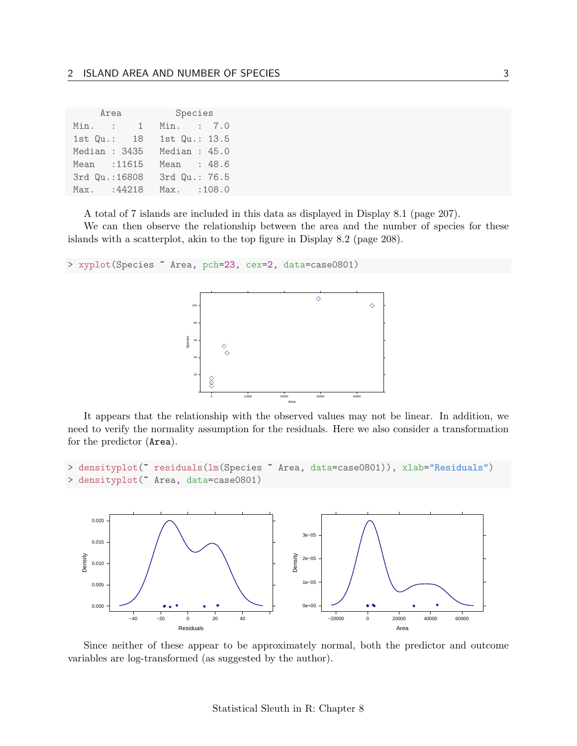|               | Area                     |      | Species |                |  |
|---------------|--------------------------|------|---------|----------------|--|
| Min.          | $\mathbf{1}$<br>$\sim$ 1 |      |         | Min. : 7.0     |  |
| $1st$ $Qu.:$  | - 18                     |      |         | 1st Qu.: 13.5  |  |
| Median : 3435 |                          |      |         | Median: $45.0$ |  |
| Mean : 11615  |                          |      |         | Mean : 48.6    |  |
|               | 3rd Qu.: 16808           |      |         | 3rd Qu.: 76.5  |  |
| Max.          | :44218                   | Max. |         | :108.0         |  |

A total of 7 islands are included in this data as displayed in Display 8.1 (page 207).

We can then observe the relationship between the area and the number of species for these islands with a scatterplot, akin to the top figure in Display 8.2 (page 208).

```
> xyplot(Species ~ Area, pch=23, cex=2, data=case0801)
```


It appears that the relationship with the observed values may not be linear. In addition, we need to verify the normality assumption for the residuals. Here we also consider a transformation for the predictor (Area).

```
> densityplot(~ residuals(lm(Species ~ Area, data=case0801)), xlab="Residuals")
> densityplot(~ Area, data=case0801)
```


Since neither of these appear to be approximately normal, both the predictor and outcome variables are log-transformed (as suggested by the author).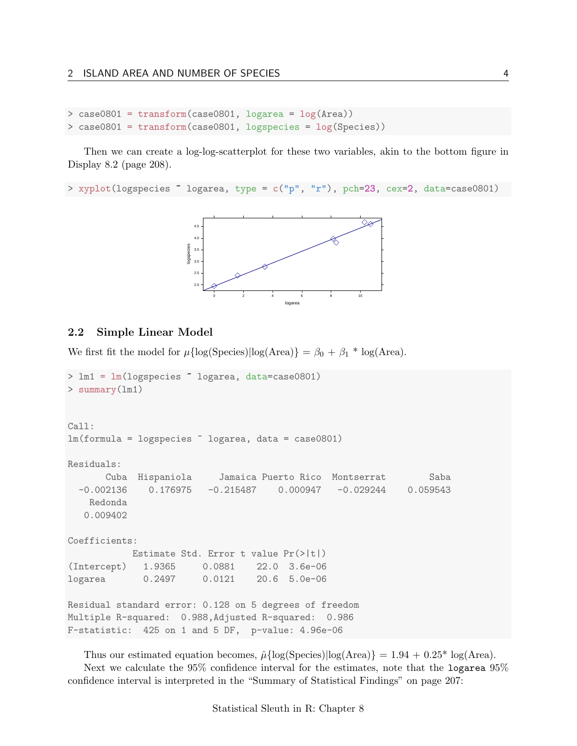```
> case0801 = transform(case0801, logarea = log(Area))
> case0801 = transform(case0801, logspecies = log(Species))
```
Then we can create a log-log-scatterplot for these two variables, akin to the bottom figure in Display 8.2 (page 208).

> xyplot(logspecies ~ logarea, type = c("p", "r"), pch=23, cex=2, data=case0801)



#### <span id="page-3-0"></span>2.2 Simple Linear Model

We first fit the model for  $\mu{\log(Species)}\log(Area) = \beta_0 + \beta_1 * \log(Area)$ .

```
> lm1 = lm(logspecies ~ logarea, data=case0801)
> summary(lm1)
Call:
lm(formula = logspecies ~ logarea, data = case0801)
Residuals:
      Cuba Hispaniola Jamaica Puerto Rico Montserrat Saba
 -0.002136 0.176975 -0.215487 0.000947 -0.029244 0.059543
   Redonda
  0.009402
Coefficients:
           Estimate Std. Error t value Pr(>|t|)
(Intercept) 1.9365 0.0881 22.0 3.6e-06
logarea 0.2497 0.0121 20.6 5.0e-06
Residual standard error: 0.128 on 5 degrees of freedom
Multiple R-squared: 0.988,Adjusted R-squared: 0.986
F-statistic: 425 on 1 and 5 DF, p-value: 4.96e-06
```

```
Thus our estimated equation becomes, \hat{\mu}{log(Species)|log(Area)} = 1.94 + 0.25<sup>*</sup> log(Area).
   Next we calculate the 95% confidence interval for the estimates, note that the logarea 95%
confidence interval is interpreted in the "Summary of Statistical Findings" on page 207:
```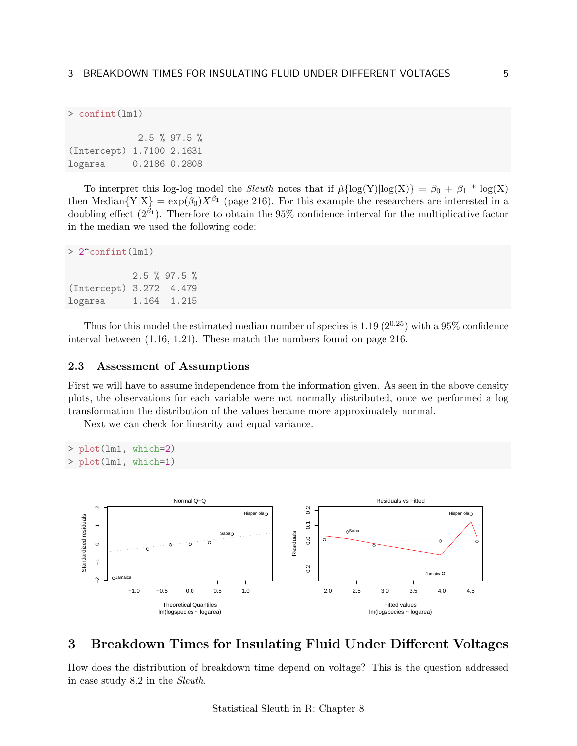```
> confint(lm1)
```

|                           | $2.5 \%$ 97.5 % |
|---------------------------|-----------------|
| (Intercept) 1.7100 2.1631 |                 |
| logarea                   | 0.2186 0.2808   |

To interpret this log-log model the *Sleuth* notes that if  $\hat{\mu} \{ \log(Y) | \log(X) \} = \beta_0 + \beta_1 * \log(X)$ then Median ${Y|X} = exp(\beta_0)X^{\beta_1}$  (page 216). For this example the researchers are interested in a doubling effect  $(2^{\beta_1})$ . Therefore to obtain the 95% confidence interval for the multiplicative factor in the median we used the following code:

```
> 2^confint(lm1)
```

```
2.5 % 97.5 %
(Intercept) 3.272 4.479
logarea 1.164 1.215
```
Thus for this model the estimated median number of species is 1.19  $(2^{0.25})$  with a 95% confidence interval between (1.16, 1.21). These match the numbers found on page 216.

#### <span id="page-4-0"></span>2.3 Assessment of Assumptions

First we will have to assume independence from the information given. As seen in the above density plots, the observations for each variable were not normally distributed, once we performed a log transformation the distribution of the values became more approximately normal.

Next we can check for linearity and equal variance.

```
> plot(lm1, which=2)
> plot(lm1, which=1)
```


### <span id="page-4-1"></span>3 Breakdown Times for Insulating Fluid Under Different Voltages

How does the distribution of breakdown time depend on voltage? This is the question addressed in case study 8.2 in the Sleuth.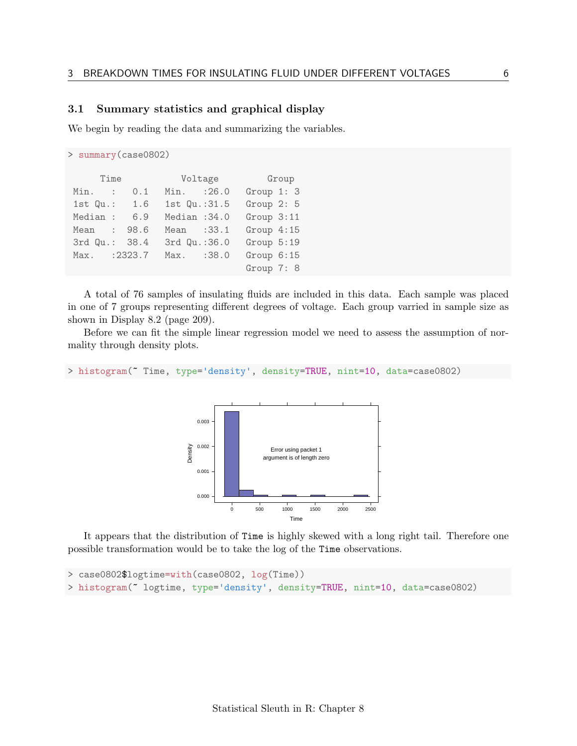#### <span id="page-5-0"></span>3.1 Summary statistics and graphical display

We begin by reading the data and summarizing the variables.

```
> summary(case0802)
    Time Voltage Group
Min. : 0.1 Min. :26.0 Group 1: 3
1st Qu.: 1.6 1st Qu.:31.5 Group 2: 5
Median : 6.9 Median :34.0 Group 3:11
Mean : 98.6 Mean : 33.1 Group 4:15
3rd Qu.: 38.4 3rd Qu.:36.0 Group 5:19
Max. :2323.7 Max. :38.0 Group 6:15
                           Group 7: 8
```
A total of 76 samples of insulating fluids are included in this data. Each sample was placed in one of 7 groups representing different degrees of voltage. Each group varried in sample size as shown in Display 8.2 (page 209).

Before we can fit the simple linear regression model we need to assess the assumption of normality through density plots.

```
> histogram(~ Time, type='density', density=TRUE, nint=10, data=case0802)
```


It appears that the distribution of Time is highly skewed with a long right tail. Therefore one possible transformation would be to take the log of the Time observations.

```
> case0802$logtime=with(case0802, log(Time))
> histogram(~ logtime, type='density', density=TRUE, nint=10, data=case0802)
```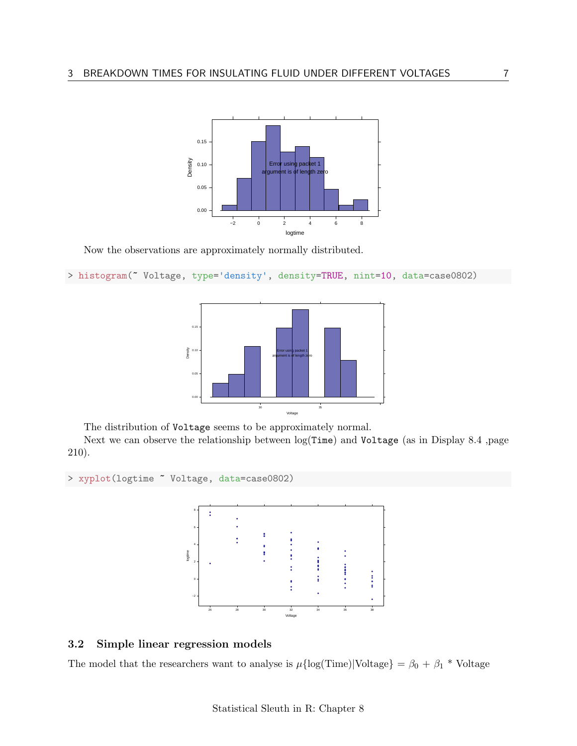

Now the observations are approximately normally distributed.

```
> histogram(~ Voltage, type='density', density=TRUE, nint=10, data=case0802)
```


The distribution of Voltage seems to be approximately normal.

Next we can observe the relationship between log(Time) and Voltage (as in Display 8.4 ,page 210).

```
> xyplot(logtime ~ Voltage, data=case0802)
```


### <span id="page-6-0"></span>3.2 Simple linear regression models

The model that the researchers want to analyse is  $\mu{\log(Time)}|{\text{Voltage}} = \beta_0 + \beta_1 * {\text{Voltage}}$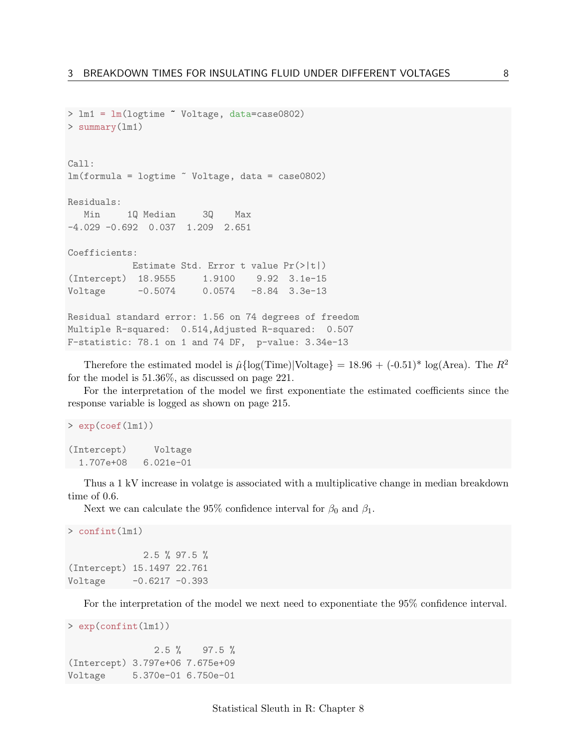```
> lm1 = lm(logtime ~ Voltage, data=case0802)
> summary(lm1)
Call:
lm(formula = logtime "Voltage, data = case0802)Residuals:
  Min 1Q Median 3Q Max
-4.029 -0.692 0.037 1.209 2.651
Coefficients:
          Estimate Std. Error t value Pr(>|t|)
(Intercept) 18.9555 1.9100 9.92 3.1e-15
Voltage -0.5074 0.0574 -8.84 3.3e-13
Residual standard error: 1.56 on 74 degrees of freedom
Multiple R-squared: 0.514,Adjusted R-squared: 0.507
F-statistic: 78.1 on 1 and 74 DF, p-value: 3.34e-13
```
Therefore the estimated model is  $\hat{\mu}$ {log(Time)|Voltage} = 18.96 + (-0.51)<sup>\*</sup> log(Area). The  $R^2$ for the model is 51.36%, as discussed on page 221.

For the interpretation of the model we first exponentiate the estimated coefficients since the response variable is logged as shown on page 215.

```
> exp(coef(lm1))
(Intercept) Voltage
 1.707e+08 6.021e-01
```
Thus a 1 kV increase in volatge is associated with a multiplicative change in median breakdown time of 0.6.

Next we can calculate the 95% confidence interval for  $\beta_0$  and  $\beta_1$ .

```
> confint(lm1)
             2.5 % 97.5 %
(Intercept) 15.1497 22.761
Voltage -0.6217 -0.393
```
For the interpretation of the model we next need to exponentiate the 95% confidence interval.

```
> exp(confint(lm1))
```

```
2.5 \% 97.5 %
(Intercept) 3.797e+06 7.675e+09
Voltage 5.370e-01 6.750e-01
```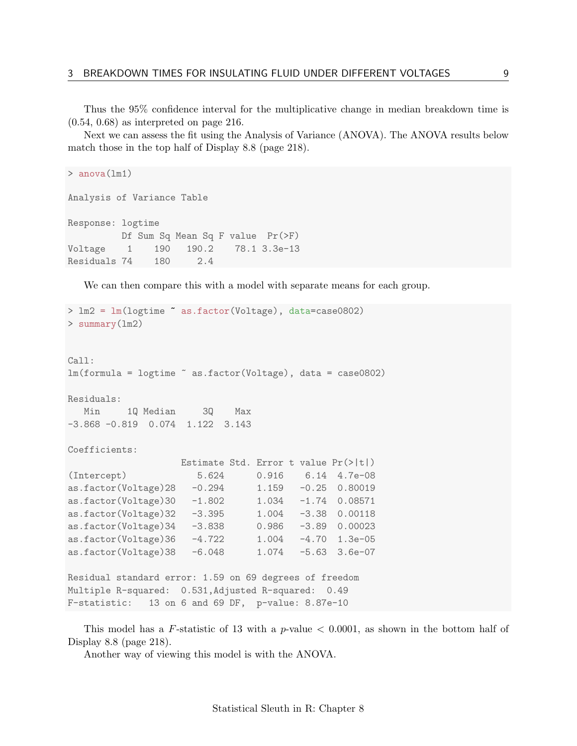Thus the 95% confidence interval for the multiplicative change in median breakdown time is (0.54, 0.68) as interpreted on page 216.

Next we can assess the fit using the Analysis of Variance (ANOVA). The ANOVA results below match those in the top half of Display 8.8 (page 218).

```
> anova(lm1)
Analysis of Variance Table
Response: logtime
         Df Sum Sq Mean Sq F value Pr(>F)
Voltage 1 190 190.2 78.1 3.3e-13
Residuals 74 180 2.4
```
We can then compare this with a model with separate means for each group.

```
> lm2 = lm(logtime ~ as.factor(Voltage), data=case0802)
> summary(lm2)
Call:
lm(formula = logtime ~ as.factor(Voltage), data = case0802)
Residuals:
  Min 1Q Median 3Q Max
-3.868 -0.819 0.074 1.122 3.143
Coefficients:
                   Estimate Std. Error t value Pr(>|t|)
(Intercept) 5.624 0.916 6.14 4.7e-08
as.factor(Voltage)28 -0.294 1.159 -0.25 0.80019
as.factor(Voltage)30 -1.802 1.034 -1.74 0.08571<br>as.factor(Voltage)32 -3.395 1.004 -3.38 0.00118
as.factor(Voltage)32 -3.395as.factor(Voltage)34 -3.838 0.986 -3.89 0.00023
as.factor(Voltage)36 -4.722 1.004 -4.70 1.3e-05
as.factor(Voltage)38 -6.048 1.074 -5.63 3.6e-07
Residual standard error: 1.59 on 69 degrees of freedom
Multiple R-squared: 0.531,Adjusted R-squared: 0.49
F-statistic: 13 on 6 and 69 DF, p-value: 8.87e-10
```
This model has a F-statistic of 13 with a  $p$ -value  $\lt$  0.0001, as shown in the bottom half of Display 8.8 (page 218).

Another way of viewing this model is with the ANOVA.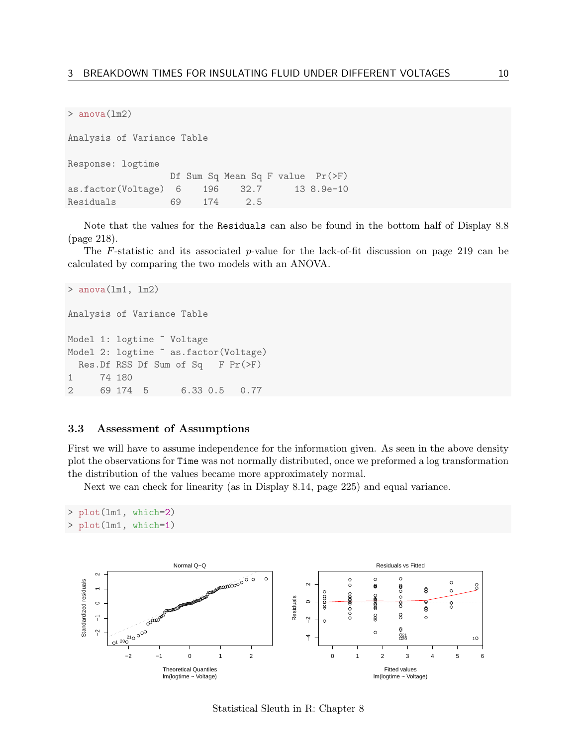> anova(lm2)

Analysis of Variance Table Response: logtime Df Sum Sq Mean Sq F value Pr(>F) as.factor(Voltage) 6 196 32.7 13 8.9e-10 Residuals 69 174 2.5

Note that the values for the Residuals can also be found in the bottom half of Display 8.8 (page 218).

The F-statistic and its associated p-value for the lack-of-fit discussion on page 219 can be calculated by comparing the two models with an ANOVA.

```
> anova(lm1, lm2)
Analysis of Variance Table
Model 1: logtime ~ Voltage
Model 2: logtime \tilde{ } as.factor(Voltage)
 Res.Df RSS Df Sum of Sq F Pr(>F)
1 74 180
2 69 174 5 6.33 0.5 0.77
```
#### <span id="page-9-0"></span>3.3 Assessment of Assumptions

First we will have to assume independence for the information given. As seen in the above density plot the observations for Time was not normally distributed, once we preformed a log transformation the distribution of the values became more approximately normal.

Next we can check for linearity (as in Display 8.14, page 225) and equal variance.

```
> plot(lm1, which=2)
> plot(lm1, which=1)
```


Statistical Sleuth in R: Chapter 8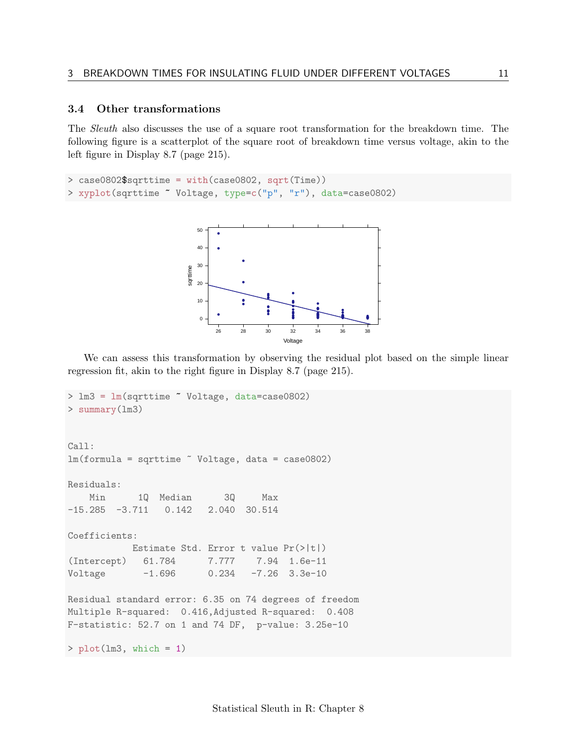#### <span id="page-10-0"></span>3.4 Other transformations

The Sleuth also discusses the use of a square root transformation for the breakdown time. The following figure is a scatterplot of the square root of breakdown time versus voltage, akin to the left figure in Display 8.7 (page 215).

```
> case0802$sqrttime = with(case0802, sqrt(Time))
> xyplot(sqrttime ~ Voltage, type=c("p", "r"), data=case0802)
```


We can assess this transformation by observing the residual plot based on the simple linear regression fit, akin to the right figure in Display 8.7 (page 215).

```
> lm3 = lm(sqrttime ~ Voltage, data=case0802)
> summary(lm3)
Call:
lm(formula = sqrttime " Voltage, data = case0802)Residuals:
   Min 1Q Median 3Q Max
-15.285 -3.711 0.142 2.040 30.514
Coefficients:
          Estimate Std. Error t value Pr(>|t|)
(Intercept) 61.784 7.777 7.94 1.6e-11
Voltage -1.696 0.234 -7.26 3.3e-10
Residual standard error: 6.35 on 74 degrees of freedom
Multiple R-squared: 0.416,Adjusted R-squared: 0.408
F-statistic: 52.7 on 1 and 74 DF, p-value: 3.25e-10
> plot(lm3, which = 1)
```